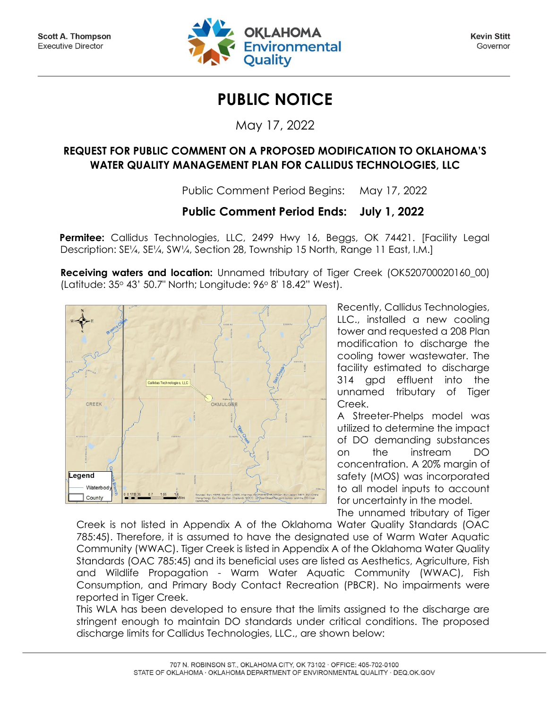

**Kevin Stitt** Governor

## **PUBLIC NOTICE**

May 17, 2022

## **REQUEST FOR PUBLIC COMMENT ON A PROPOSED MODIFICATION TO OKLAHOMA'S WATER QUALITY MANAGEMENT PLAN FOR CALLIDUS TECHNOLOGIES, LLC**

Public Comment Period Begins: May 17, 2022

## **Public Comment Period Ends: July 1, 2022**

**Permitee:** Callidus Technologies, LLC, 2499 Hwy 16, Beggs, OK 74421. [Facility Legal Description: SE¼, SE¼, SW¼, Section 28, Township 15 North, Range 11 East, I.M.]

**Receiving waters and location:** Unnamed tributary of Tiger Creek (OK520700020160\_00) (Latitude: 35<sup>o</sup> 43' 50.7" North; Longitude: 96<sup>o</sup> 8' 18.42" West).



Recently, Callidus Technologies, LLC., installed a new cooling tower and requested a 208 Plan modification to discharge the cooling tower wastewater. The facility estimated to discharge 314 gpd effluent into the unnamed tributary of Tiger Creek.

A Streeter-Phelps model was utilized to determine the impact of DO demanding substances on the instream DO concentration. A 20% margin of safety (MOS) was incorporated to all model inputs to account for uncertainty in the model.

The unnamed tributary of Tiger

Creek is not listed in Appendix A of the Oklahoma Water Quality Standards (OAC 785:45). Therefore, it is assumed to have the designated use of Warm Water Aquatic Community (WWAC). Tiger Creek is listed in Appendix A of the Oklahoma Water Quality Standards (OAC 785:45) and its beneficial uses are listed as Aesthetics, Agriculture, Fish and Wildlife Propagation - Warm Water Aquatic Community (WWAC), Fish Consumption, and Primary Body Contact Recreation (PBCR). No impairments were reported in Tiger Creek.

This WLA has been developed to ensure that the limits assigned to the discharge are stringent enough to maintain DO standards under critical conditions. The proposed discharge limits for Callidus Technologies, LLC., are shown below: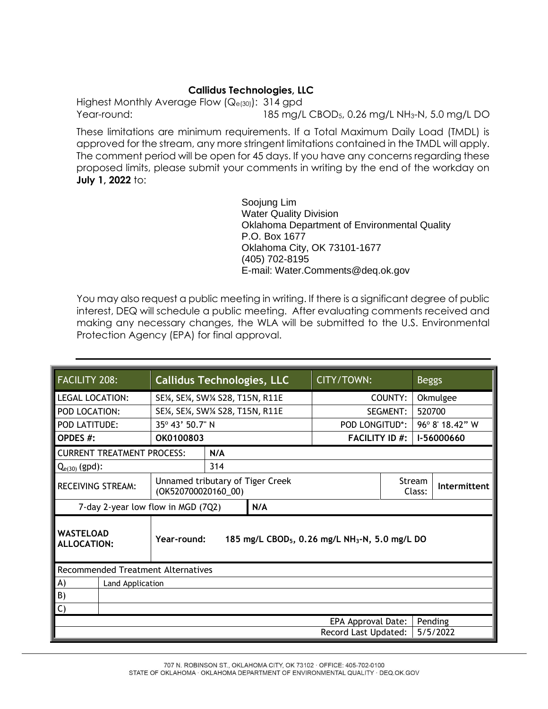## **Callidus Technologies, LLC**

Highest Monthly Average Flow (Qe(30)): 314 gpd Year-round: 185 mg/L CBOD5, 0.26 mg/L NH3-N, 5.0 mg/L DO

These limitations are minimum requirements. If a Total Maximum Daily Load (TMDL) is approved for the stream, any more stringent limitations contained in the TMDL will apply. The comment period will be open for 45 days. If you have any concerns regarding these proposed limits, please submit your comments in writing by the end of the workday on **July 1, 2022** to:

> Soojung Lim Water Quality Division Oklahoma Department of Environmental Quality P.O. Box 1677 Oklahoma City, OK 73101-1677 (405) 702-8195 E-mail: Water.Comments@deq.ok.gov

You may also request a public meeting in writing. If there is a significant degree of public interest, DEQ will schedule a public meeting. After evaluating comments received and making any necessary changes, the WLA will be submitted to the U.S. Environmental Protection Agency (EPA) for final approval.

| FACILITY 208:                             | <b>Callidus Technologies, LLC</b>                       |                                                                        |  | CITY/TOWN:            |  | <b>Beggs</b>     |              |  |
|-------------------------------------------|---------------------------------------------------------|------------------------------------------------------------------------|--|-----------------------|--|------------------|--------------|--|
| <b>LEGAL LOCATION:</b>                    | SE¼, SE¼, SW¼ S28, T15N, R11E                           |                                                                        |  | COUNTY:               |  | Okmulgee         |              |  |
| POD LOCATION:                             | SE¼, SE¼, SW¼ S28, T15N, R11E                           |                                                                        |  | SEGMENT:              |  | 520700           |              |  |
| <b>POD LATITUDE:</b>                      | 35° 43' 50.7" N                                         |                                                                        |  | POD LONGITUD*:        |  | 96° 8' 18.42" W  |              |  |
| OPDES #:                                  | OK0100803                                               |                                                                        |  | <b>FACILITY ID #:</b> |  | I-56000660       |              |  |
| <b>CURRENT TREATMENT PROCESS:</b>         |                                                         | N/A                                                                    |  |                       |  |                  |              |  |
| $Q_{e(30)}$ (gpd):                        | 314                                                     |                                                                        |  |                       |  |                  |              |  |
| <b>RECEIVING STREAM:</b>                  | Unnamed tributary of Tiger Creek<br>(OK520700020160_00) |                                                                        |  |                       |  | Stream<br>Class: | Intermittent |  |
| 7-day 2-year low flow in MGD (7Q2)        | N/A                                                     |                                                                        |  |                       |  |                  |              |  |
| <b>WASTELOAD</b><br>ALLOCATION:           | Year-round:                                             | 185 mg/L CBOD <sub>5</sub> , 0.26 mg/L NH <sub>3</sub> -N, 5.0 mg/L DO |  |                       |  |                  |              |  |
| <b>Recommended Treatment Alternatives</b> |                                                         |                                                                        |  |                       |  |                  |              |  |
| A)                                        | Land Application                                        |                                                                        |  |                       |  |                  |              |  |
| B)                                        |                                                         |                                                                        |  |                       |  |                  |              |  |
| $\mathsf{C}$                              |                                                         |                                                                        |  |                       |  |                  |              |  |
| EPA Approval Date:<br>Pending             |                                                         |                                                                        |  |                       |  |                  |              |  |
| Record Last Updated:<br>5/5/2022          |                                                         |                                                                        |  |                       |  |                  |              |  |